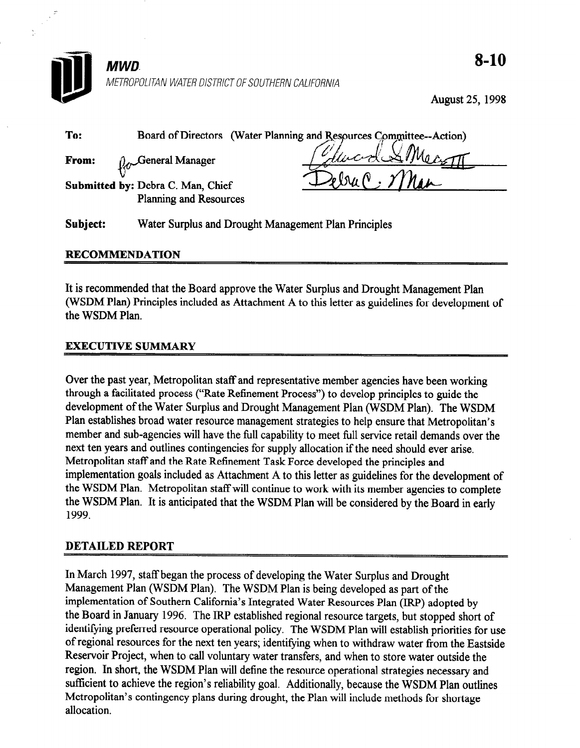

August 25, 1998

| To:      | (Water Planning and Resources Committee--Action)<br><b>Board of Directors</b>              |
|----------|--------------------------------------------------------------------------------------------|
| From:    | "Glucides"<br>General Manager                                                              |
|          | $\sqrt{\mathcal{N}}$<br>Submitted by: Debra C. Man, Chief<br><b>Planning and Resources</b> |
| Subject: | Water Surplus and Drought Management Plan Principles                                       |

### RECOMMENDATION

It is recommended that the Board approve the Water Surplus and Drought Management Plan (WSDM Plan) Principles included as Attachment A to this letter as guidelines for development of the WSDM Plan.

### EXECUTIVE SUMMARY

Over the past year, Metropolitan staff and representative member agencies have been working through a facilitated process ("Rate Refinement Process") to develop principles to guide the development of the Water Surplus and Drought Management Plan (WSDM Plan). The WSDM Plan establishes broad water resource management strategies to help ensure that Metropolitan's member and sub-agencies will have the full capability to meet full service retail demands over the next ten years and outlines contingencies for supply allocation if the need should ever arise. Metropolitan staff and the Rate Refinement Task Force developed the principles and implementation goals included as Attachment A to this letter as guidelines for the development of the WSDM Plan. Metropolitan staff will continue to work with its member agencies to complete the WSDM Plan. It is anticipated that the WSDM Plan will be considered by the Board in early 1999.

#### DETAILED REPORT

In March 1997, staff began the process of developing the Water Surplus and Drought Management Plan (WSDM Plan). The WSDM Plan is being developed as part of the implementation of Southern California's Integrated Water Resources Plan (IRP) adopted by the Board in January 1996. The IRP established regional resource targets, but stopped short of identifying preferred resource operational policy. The WSDM Plan will establish priorities for use of regional resources for the next ten years; identifying when to withdraw water from the Eastside Reservoir Project, when to call voluntary water transfers, and when to store water outside the region. In short, the WSDM Plan will define the resource operational strategies necessary and sufficient to achieve the region's reliability goal. Additionally, because the WSDM Plan outlines Metropolitan's contingency plans during drought, the Plan will include methods for shortage allocation.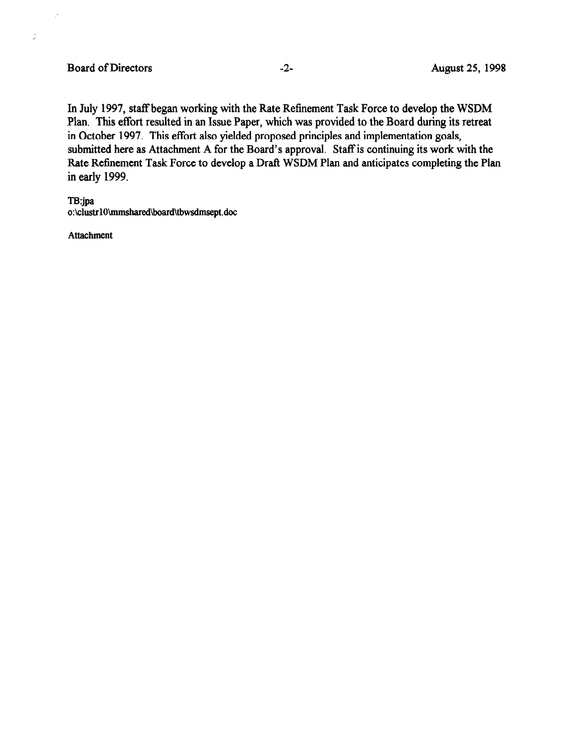$\mathbb{R}^2$ 

 $\frac{1}{2}$ 

In July 1997, staff began working with the Rate Refinement Task Force to develop the WSDM Plan. This effort resulted in an Issue Paper, which was provided to the Board during its retreat in October 1997. This effort also yielded proposed principles and implementation goals, submitted here as Attachment A for the Board's approval. Staff is continuing its work with the Rate Refinement Task Force to develop a Draft WSDM Plan and anticipates completing the Plan in early 1999.

TBjpa o:\clustr10\mmshared\board\tbwsdmsept.doc

Attachment